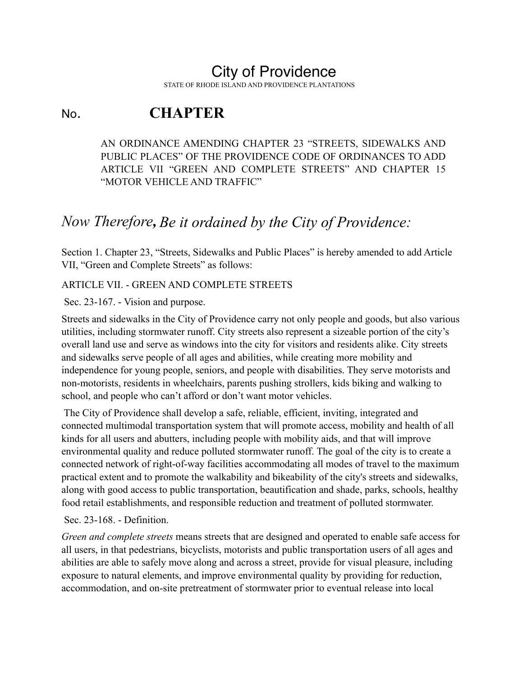# City of Providence

STATE OF RHODE ISLAND AND PROVIDENCE PLANTATIONS

# No. **CHAPTER**

AN ORDINANCE AMENDING CHAPTER 23 "STREETS, SIDEWALKS AND PUBLIC PLACES" OF THE PROVIDENCE CODE OF ORDINANCES TO ADD ARTICLE VII "GREEN AND COMPLETE STREETS" AND CHAPTER 15 "MOTOR VEHICLE AND TRAFFIC"

## *Now Therefore, Be it ordained by the City of Providence:*

Section 1. Chapter 23, "Streets, Sidewalks and Public Places" is hereby amended to add Article VII, "Green and Complete Streets" as follows:

### ARTICLE VII. - GREEN AND COMPLETE STREETS

Sec. 23-167. - Vision and purpose.

Streets and sidewalks in the City of Providence carry not only people and goods, but also various utilities, including stormwater runoff. City streets also represent a sizeable portion of the city's overall land use and serve as windows into the city for visitors and residents alike. City streets and sidewalks serve people of all ages and abilities, while creating more mobility and independence for young people, seniors, and people with disabilities. They serve motorists and non-motorists, residents in wheelchairs, parents pushing strollers, kids biking and walking to school, and people who can't afford or don't want motor vehicles.

 The City of Providence shall develop a safe, reliable, efficient, inviting, integrated and connected multimodal transportation system that will promote access, mobility and health of all kinds for all users and abutters, including people with mobility aids, and that will improve environmental quality and reduce polluted stormwater runoff. The goal of the city is to create a connected network of right-of-way facilities accommodating all modes of travel to the maximum practical extent and to promote the walkability and bikeability of the city's streets and sidewalks, along with good access to public transportation, beautification and shade, parks, schools, healthy food retail establishments, and responsible reduction and treatment of polluted stormwater.

#### Sec. 23-168. - Definition.

*Green and complete streets* means streets that are designed and operated to enable safe access for all users, in that pedestrians, bicyclists, motorists and public transportation users of all ages and abilities are able to safely move along and across a street, provide for visual pleasure, including exposure to natural elements, and improve environmental quality by providing for reduction, accommodation, and on-site pretreatment of stormwater prior to eventual release into local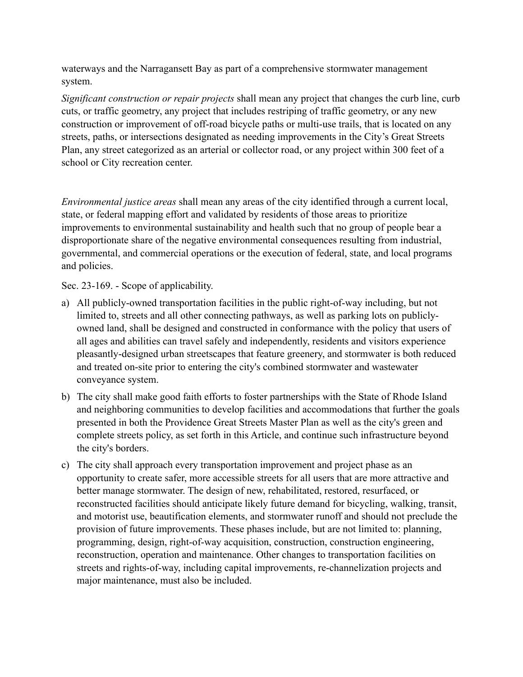waterways and the Narragansett Bay as part of a comprehensive stormwater management system.

*Significant construction or repair projects* shall mean any project that changes the curb line, curb cuts, or traffic geometry, any project that includes restriping of traffic geometry, or any new construction or improvement of off-road bicycle paths or multi-use trails, that is located on any streets, paths, or intersections designated as needing improvements in the City's Great Streets Plan, any street categorized as an arterial or collector road, or any project within 300 feet of a school or City recreation center.

*Environmental justice areas* shall mean any areas of the city identified through a current local, state, or federal mapping effort and validated by residents of those areas to prioritize improvements to environmental sustainability and health such that no group of people bear a disproportionate share of the negative environmental consequences resulting from industrial, governmental, and commercial operations or the execution of federal, state, and local programs and policies.

Sec. 23-169. - Scope of applicability.

- a) All publicly-owned transportation facilities in the public right-of-way including, but not limited to, streets and all other connecting pathways, as well as parking lots on publiclyowned land, shall be designed and constructed in conformance with the policy that users of all ages and abilities can travel safely and independently, residents and visitors experience pleasantly-designed urban streetscapes that feature greenery, and stormwater is both reduced and treated on-site prior to entering the city's combined stormwater and wastewater conveyance system.
- b) The city shall make good faith efforts to foster partnerships with the State of Rhode Island and neighboring communities to develop facilities and accommodations that further the goals presented in both the Providence Great Streets Master Plan as well as the city's green and complete streets policy, as set forth in this Article, and continue such infrastructure beyond the city's borders.
- c) The city shall approach every transportation improvement and project phase as an opportunity to create safer, more accessible streets for all users that are more attractive and better manage stormwater. The design of new, rehabilitated, restored, resurfaced, or reconstructed facilities should anticipate likely future demand for bicycling, walking, transit, and motorist use, beautification elements, and stormwater runoff and should not preclude the provision of future improvements. These phases include, but are not limited to: planning, programming, design, right-of-way acquisition, construction, construction engineering, reconstruction, operation and maintenance. Other changes to transportation facilities on streets and rights-of-way, including capital improvements, re-channelization projects and major maintenance, must also be included.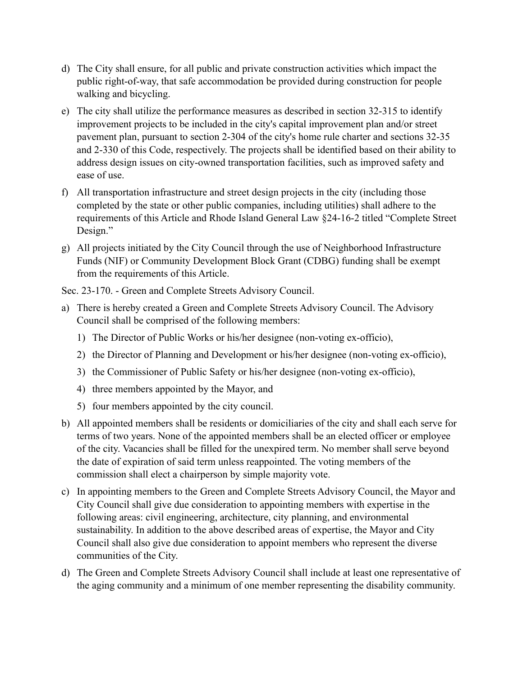- d) The City shall ensure, for all public and private construction activities which impact the public right-of-way, that safe accommodation be provided during construction for people walking and bicycling.
- e) The city shall utilize the performance measures as described in section 32-315 to identify improvement projects to be included in the city's capital improvement plan and/or street pavement plan, pursuant to section 2-304 of the city's home rule charter and sections 32-35 and 2-330 of this Code, respectively. The projects shall be identified based on their ability to address design issues on city-owned transportation facilities, such as improved safety and ease of use.
- f) All transportation infrastructure and street design projects in the city (including those completed by the state or other public companies, including utilities) shall adhere to the requirements of this Article and Rhode Island General Law §24-16-2 titled "Complete Street Design."
- g) All projects initiated by the City Council through the use of Neighborhood Infrastructure Funds (NIF) or Community Development Block Grant (CDBG) funding shall be exempt from the requirements of this Article.

Sec. 23-170. - Green and Complete Streets Advisory Council.

- a) There is hereby created a Green and Complete Streets Advisory Council. The Advisory Council shall be comprised of the following members:
	- 1) The Director of Public Works or his/her designee (non-voting ex-officio),
	- 2) the Director of Planning and Development or his/her designee (non-voting ex-officio),
	- 3) the Commissioner of Public Safety or his/her designee (non-voting ex-officio),
	- 4) three members appointed by the Mayor, and
	- 5) four members appointed by the city council.
- b) All appointed members shall be residents or domiciliaries of the city and shall each serve for terms of two years. None of the appointed members shall be an elected officer or employee of the city. Vacancies shall be filled for the unexpired term. No member shall serve beyond the date of expiration of said term unless reappointed. The voting members of the commission shall elect a chairperson by simple majority vote.
- c) In appointing members to the Green and Complete Streets Advisory Council, the Mayor and City Council shall give due consideration to appointing members with expertise in the following areas: civil engineering, architecture, city planning, and environmental sustainability. In addition to the above described areas of expertise, the Mayor and City Council shall also give due consideration to appoint members who represent the diverse communities of the City.
- d) The Green and Complete Streets Advisory Council shall include at least one representative of the aging community and a minimum of one member representing the disability community.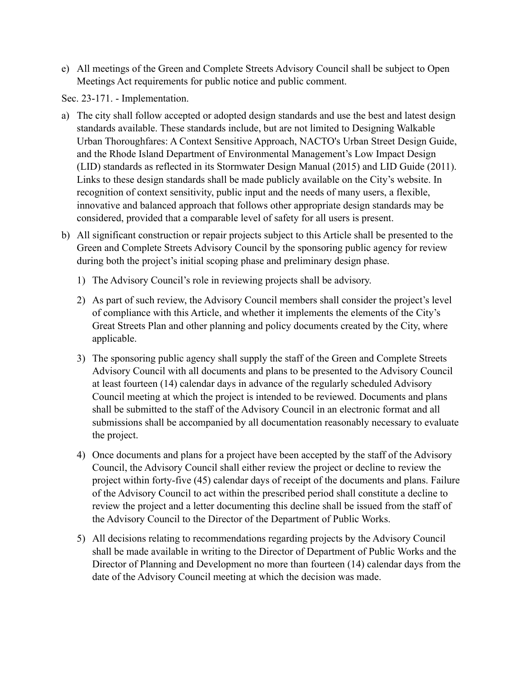e) All meetings of the Green and Complete Streets Advisory Council shall be subject to Open Meetings Act requirements for public notice and public comment.

Sec. 23-171. - Implementation.

- a) The city shall follow accepted or adopted design standards and use the best and latest design standards available. These standards include, but are not limited to Designing Walkable Urban Thoroughfares: A Context Sensitive Approach, NACTO's Urban Street Design Guide, and the Rhode Island Department of Environmental Management's Low Impact Design (LID) standards as reflected in its Stormwater Design Manual (2015) and LID Guide (2011). Links to these design standards shall be made publicly available on the City's website. In recognition of context sensitivity, public input and the needs of many users, a flexible, innovative and balanced approach that follows other appropriate design standards may be considered, provided that a comparable level of safety for all users is present.
- b) All significant construction or repair projects subject to this Article shall be presented to the Green and Complete Streets Advisory Council by the sponsoring public agency for review during both the project's initial scoping phase and preliminary design phase.
	- 1) The Advisory Council's role in reviewing projects shall be advisory.
	- 2) As part of such review, the Advisory Council members shall consider the project's level of compliance with this Article, and whether it implements the elements of the City's Great Streets Plan and other planning and policy documents created by the City, where applicable.
	- 3) The sponsoring public agency shall supply the staff of the Green and Complete Streets Advisory Council with all documents and plans to be presented to the Advisory Council at least fourteen (14) calendar days in advance of the regularly scheduled Advisory Council meeting at which the project is intended to be reviewed. Documents and plans shall be submitted to the staff of the Advisory Council in an electronic format and all submissions shall be accompanied by all documentation reasonably necessary to evaluate the project.
	- 4) Once documents and plans for a project have been accepted by the staff of the Advisory Council, the Advisory Council shall either review the project or decline to review the project within forty-five (45) calendar days of receipt of the documents and plans. Failure of the Advisory Council to act within the prescribed period shall constitute a decline to review the project and a letter documenting this decline shall be issued from the staff of the Advisory Council to the Director of the Department of Public Works.
	- 5) All decisions relating to recommendations regarding projects by the Advisory Council shall be made available in writing to the Director of Department of Public Works and the Director of Planning and Development no more than fourteen (14) calendar days from the date of the Advisory Council meeting at which the decision was made.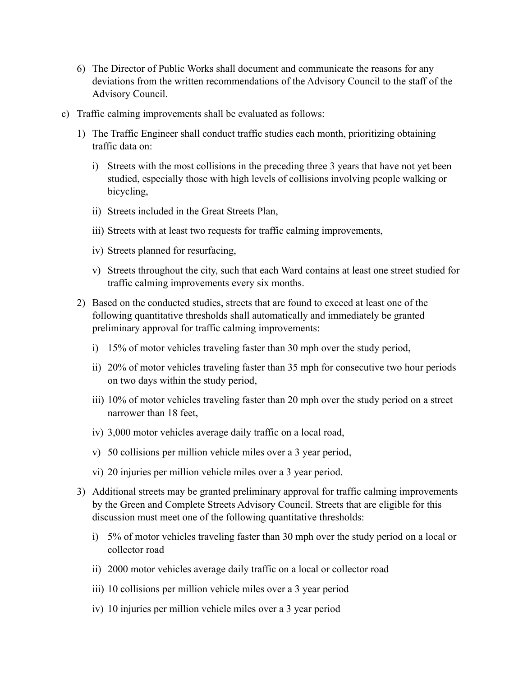- 6) The Director of Public Works shall document and communicate the reasons for any deviations from the written recommendations of the Advisory Council to the staff of the Advisory Council.
- c) Traffic calming improvements shall be evaluated as follows:
	- 1) The Traffic Engineer shall conduct traffic studies each month, prioritizing obtaining traffic data on:
		- i) Streets with the most collisions in the preceding three 3 years that have not yet been studied, especially those with high levels of collisions involving people walking or bicycling,
		- ii) Streets included in the Great Streets Plan,
		- iii) Streets with at least two requests for traffic calming improvements,
		- iv) Streets planned for resurfacing,
		- v) Streets throughout the city, such that each Ward contains at least one street studied for traffic calming improvements every six months.
	- 2) Based on the conducted studies, streets that are found to exceed at least one of the following quantitative thresholds shall automatically and immediately be granted preliminary approval for traffic calming improvements:
		- i) 15% of motor vehicles traveling faster than 30 mph over the study period,
		- ii) 20% of motor vehicles traveling faster than 35 mph for consecutive two hour periods on two days within the study period,
		- iii) 10% of motor vehicles traveling faster than 20 mph over the study period on a street narrower than 18 feet,
		- iv) 3,000 motor vehicles average daily traffic on a local road,
		- v) 50 collisions per million vehicle miles over a 3 year period,
		- vi) 20 injuries per million vehicle miles over a 3 year period.
	- 3) Additional streets may be granted preliminary approval for traffic calming improvements by the Green and Complete Streets Advisory Council. Streets that are eligible for this discussion must meet one of the following quantitative thresholds:
		- i) 5% of motor vehicles traveling faster than 30 mph over the study period on a local or collector road
		- ii) 2000 motor vehicles average daily traffic on a local or collector road
		- iii) 10 collisions per million vehicle miles over a 3 year period
		- iv) 10 injuries per million vehicle miles over a 3 year period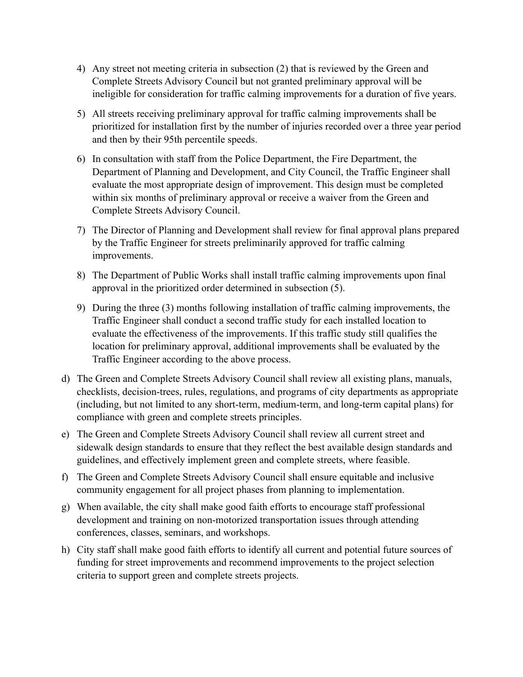- 4) Any street not meeting criteria in subsection (2) that is reviewed by the Green and Complete Streets Advisory Council but not granted preliminary approval will be ineligible for consideration for traffic calming improvements for a duration of five years.
- 5) All streets receiving preliminary approval for traffic calming improvements shall be prioritized for installation first by the number of injuries recorded over a three year period and then by their 95th percentile speeds.
- 6) In consultation with staff from the Police Department, the Fire Department, the Department of Planning and Development, and City Council, the Traffic Engineer shall evaluate the most appropriate design of improvement. This design must be completed within six months of preliminary approval or receive a waiver from the Green and Complete Streets Advisory Council.
- 7) The Director of Planning and Development shall review for final approval plans prepared by the Traffic Engineer for streets preliminarily approved for traffic calming improvements.
- 8) The Department of Public Works shall install traffic calming improvements upon final approval in the prioritized order determined in subsection (5).
- 9) During the three (3) months following installation of traffic calming improvements, the Traffic Engineer shall conduct a second traffic study for each installed location to evaluate the effectiveness of the improvements. If this traffic study still qualifies the location for preliminary approval, additional improvements shall be evaluated by the Traffic Engineer according to the above process.
- d) The Green and Complete Streets Advisory Council shall review all existing plans, manuals, checklists, decision-trees, rules, regulations, and programs of city departments as appropriate (including, but not limited to any short-term, medium-term, and long-term capital plans) for compliance with green and complete streets principles.
- e) The Green and Complete Streets Advisory Council shall review all current street and sidewalk design standards to ensure that they reflect the best available design standards and guidelines, and effectively implement green and complete streets, where feasible.
- f) The Green and Complete Streets Advisory Council shall ensure equitable and inclusive community engagement for all project phases from planning to implementation.
- g) When available, the city shall make good faith efforts to encourage staff professional development and training on non-motorized transportation issues through attending conferences, classes, seminars, and workshops.
- h) City staff shall make good faith efforts to identify all current and potential future sources of funding for street improvements and recommend improvements to the project selection criteria to support green and complete streets projects.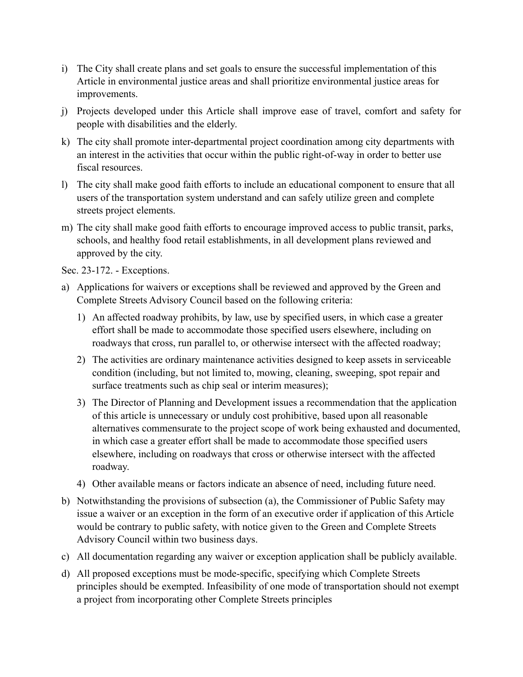- i) The City shall create plans and set goals to ensure the successful implementation of this Article in environmental justice areas and shall prioritize environmental justice areas for improvements.
- j) Projects developed under this Article shall improve ease of travel, comfort and safety for people with disabilities and the elderly.
- k) The city shall promote inter-departmental project coordination among city departments with an interest in the activities that occur within the public right-of-way in order to better use fiscal resources.
- l) The city shall make good faith efforts to include an educational component to ensure that all users of the transportation system understand and can safely utilize green and complete streets project elements.
- m) The city shall make good faith efforts to encourage improved access to public transit, parks, schools, and healthy food retail establishments, in all development plans reviewed and approved by the city.

Sec. 23-172. - Exceptions.

- a) Applications for waivers or exceptions shall be reviewed and approved by the Green and Complete Streets Advisory Council based on the following criteria:
	- 1) An affected roadway prohibits, by law, use by specified users, in which case a greater effort shall be made to accommodate those specified users elsewhere, including on roadways that cross, run parallel to, or otherwise intersect with the affected roadway;
	- 2) The activities are ordinary maintenance activities designed to keep assets in serviceable condition (including, but not limited to, mowing, cleaning, sweeping, spot repair and surface treatments such as chip seal or interim measures);
	- 3) The Director of Planning and Development issues a recommendation that the application of this article is unnecessary or unduly cost prohibitive, based upon all reasonable alternatives commensurate to the project scope of work being exhausted and documented, in which case a greater effort shall be made to accommodate those specified users elsewhere, including on roadways that cross or otherwise intersect with the affected roadway.
	- 4) Other available means or factors indicate an absence of need, including future need.
- b) Notwithstanding the provisions of subsection (a), the Commissioner of Public Safety may issue a waiver or an exception in the form of an executive order if application of this Article would be contrary to public safety, with notice given to the Green and Complete Streets Advisory Council within two business days.
- c) All documentation regarding any waiver or exception application shall be publicly available.
- d) All proposed exceptions must be mode-specific, specifying which Complete Streets principles should be exempted. Infeasibility of one mode of transportation should not exempt a project from incorporating other Complete Streets principles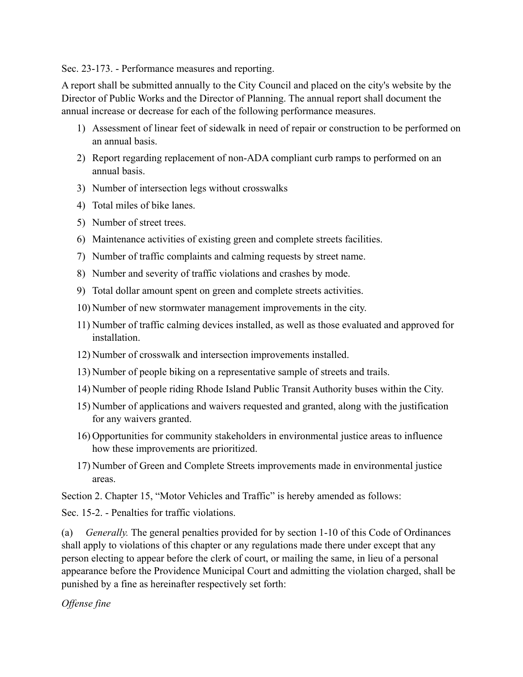Sec. 23-173. - Performance measures and reporting.

A report shall be submitted annually to the City Council and placed on the city's website by the Director of Public Works and the Director of Planning. The annual report shall document the annual increase or decrease for each of the following performance measures.

- 1) Assessment of linear feet of sidewalk in need of repair or construction to be performed on an annual basis.
- 2) Report regarding replacement of non-ADA compliant curb ramps to performed on an annual basis.
- 3) Number of intersection legs without crosswalks
- 4) Total miles of bike lanes.
- 5) Number of street trees.
- 6) Maintenance activities of existing green and complete streets facilities.
- 7) Number of traffic complaints and calming requests by street name.
- 8) Number and severity of traffic violations and crashes by mode.
- 9) Total dollar amount spent on green and complete streets activities.
- 10) Number of new stormwater management improvements in the city.
- 11) Number of traffic calming devices installed, as well as those evaluated and approved for installation.
- 12) Number of crosswalk and intersection improvements installed.
- 13) Number of people biking on a representative sample of streets and trails.
- 14) Number of people riding Rhode Island Public Transit Authority buses within the City.
- 15) Number of applications and waivers requested and granted, along with the justification for any waivers granted.
- 16) Opportunities for community stakeholders in environmental justice areas to influence how these improvements are prioritized.
- 17) Number of Green and Complete Streets improvements made in environmental justice areas.

Section 2. Chapter 15, "Motor Vehicles and Traffic" is hereby amended as follows:

Sec. 15-2. - Penalties for traffic violations.

(a) *Generally.* The general penalties provided for by section 1-10 of this Code of Ordinances shall apply to violations of this chapter or any regulations made there under except that any person electing to appear before the clerk of court, or mailing the same, in lieu of a personal appearance before the Providence Municipal Court and admitting the violation charged, shall be punished by a fine as hereinafter respectively set forth:

*Offense fine*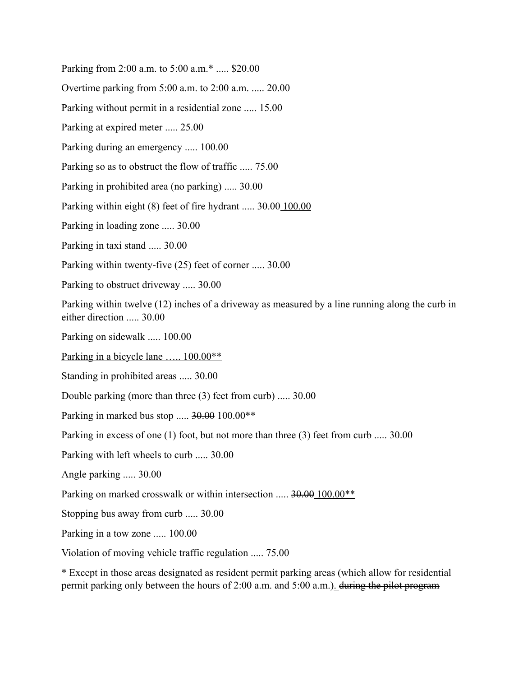Parking from 2:00 a.m. to 5:00 a.m.\* ..... \$20.00

Overtime parking from 5:00 a.m. to 2:00 a.m. ..... 20.00

Parking without permit in a residential zone ..... 15.00

Parking at expired meter ..... 25.00

Parking during an emergency ..... 100.00

Parking so as to obstruct the flow of traffic ..... 75.00

Parking in prohibited area (no parking) ..... 30.00

Parking within eight (8) feet of fire hydrant ..... 30.00 100.00

Parking in loading zone ..... 30.00

Parking in taxi stand ..... 30.00

Parking within twenty-five (25) feet of corner ..... 30.00

Parking to obstruct driveway ..... 30.00

Parking within twelve (12) inches of a driveway as measured by a line running along the curb in either direction ..... 30.00

Parking on sidewalk ..... 100.00

Parking in a bicycle lane ..... 100.00<sup>\*\*</sup>

Standing in prohibited areas ..... 30.00

Double parking (more than three (3) feet from curb) ..... 30.00

Parking in marked bus stop ..... 30.00 100.00\*\*

Parking in excess of one (1) foot, but not more than three (3) feet from curb ..... 30.00

Parking with left wheels to curb ..... 30.00

Angle parking ..... 30.00

Parking on marked crosswalk or within intersection ..... 30.00 100.00\*\*

Stopping bus away from curb ..... 30.00

Parking in a tow zone ..... 100.00

Violation of moving vehicle traffic regulation ..... 75.00

\* Except in those areas designated as resident permit parking areas (which allow for residential permit parking only between the hours of 2:00 a.m. and 5:00 a.m.). during the pilot program